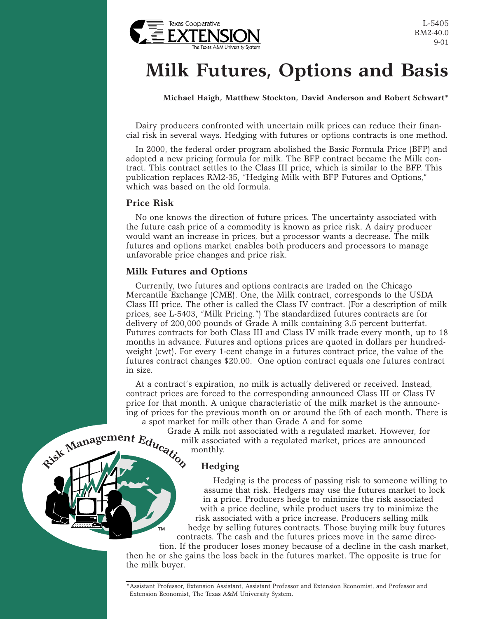

L-5405 RM2-40.0 9-01

# **Milk Futures, Options and Basis**

**Michael Haigh, Matthew Stockton, David Anderson and Robert Schwart\***

Dairy producers confronted with uncertain milk prices can reduce their financial risk in several ways. Hedging with futures or options contracts is one method.

In 2000, the federal order program abolished the Basic Formula Price (BFP) and adopted a new pricing formula for milk. The BFP contract became the Milk contract. This contract settles to the Class III price, which is similar to the BFP. This publication replaces RM2-35, "Hedging Milk with BFP Futures and Options," which was based on the old formula.

## **Price Risk**

No one knows the direction of future prices. The uncertainty associated with the future cash price of a commodity is known as price risk. A dairy producer would want an increase in prices, but a processor wants a decrease. The milk futures and options market enables both producers and processors to manage unfavorable price changes and price risk.

## **Milk Futures and Options**

Currently, two futures and options contracts are traded on the Chicago Mercantile Exchange (CME). One, the Milk contract, corresponds to the USDA Class III price. The other is called the Class IV contract. (For a description of milk prices, see L-5403, "Milk Pricing.") The standardized futures contracts are for delivery of 200,000 pounds of Grade A milk containing 3.5 percent butterfat. Futures contracts for both Class III and Class IV milk trade every month, up to 18 months in advance. Futures and options prices are quoted in dollars per hundredweight (cwt). For every 1-cent change in a futures contract price, the value of the futures contract changes \$20.00. One option contract equals one futures contract in size.

At a contract's expiration, no milk is actually delivered or received. Instead, contract prices are forced to the corresponding announced Class III or Class IV price for that month. A unique characteristic of the milk market is the announcing of prices for the previous month on or around the 5th of each month. There is a spot market for milk other than Grade A and for some

Grade A milk not associated with a regulated market. However, for milk associated with a regulated market, prices are announced monthly. **<sup>R</sup>i<sup>s</sup><sup>k</sup> <sup>M</sup>anag<sup>e</sup>men<sup>t</sup> <sup>E</sup>ducatio<sup>n</sup>**

# **Hedging**

™

Hedging is the process of passing risk to someone willing to assume that risk. Hedgers may use the futures market to lock in a price. Producers hedge to minimize the risk associated with a price decline, while product users try to minimize the risk associated with a price increase. Producers selling milk hedge by selling futures contracts. Those buying milk buy futures contracts. The cash and the futures prices move in the same direc-

tion. If the producer loses money because of a decline in the cash market, then he or she gains the loss back in the futures market. The opposite is true for the milk buyer.

<sup>\*</sup>Assistant Professor, Extension Assistant, Assistant Professor and Extension Economist, and Professor and Extension Economist, The Texas A&M University System.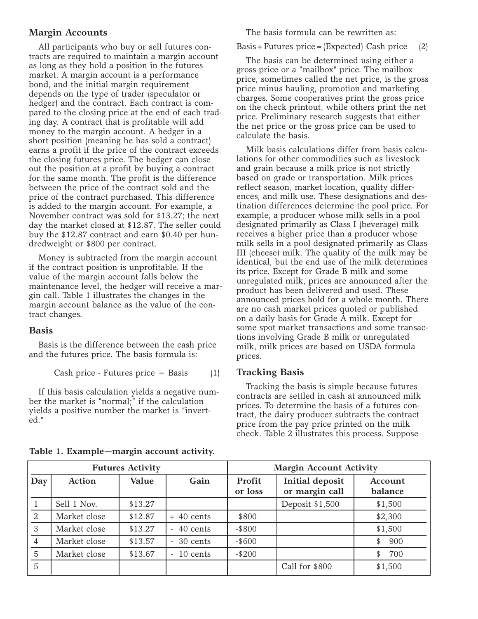# **Margin Accounts**

All participants who buy or sell futures contracts are required to maintain a margin account as long as they hold a position in the futures market. A margin account is a performance bond, and the initial margin requirement depends on the type of trader (speculator or hedger) and the contract. Each contract is compared to the closing price at the end of each trading day. A contract that is profitable will add money to the margin account. A hedger in a short position (meaning he has sold a contract) earns a profit if the price of the contract exceeds the closing futures price. The hedger can close out the position at a profit by buying a contract for the same month. The profit is the difference between the price of the contract sold and the price of the contract purchased. This difference is added to the margin account. For example, a November contract was sold for \$13.27; the next day the market closed at \$12.87. The seller could buy the \$12.87 contract and earn \$0.40 per hundredweight or \$800 per contract.

Money is subtracted from the margin account if the contract position is unprofitable. If the value of the margin account falls below the maintenance level, the hedger will receive a margin call. Table 1 illustrates the changes in the margin account balance as the value of the contract changes.

#### **Basis**

Basis is the difference between the cash price and the futures price. The basis formula is:

Cash price - Futures price = Basis (1)

If this basis calculation yields a negative number the market is "normal;" if the calculation yields a positive number the market is "inverted."

The basis formula can be rewritten as:

Basis+Futures price=(Expected) Cash price (2)

The basis can be determined using either a gross price or a "mailbox" price. The mailbox price, sometimes called the net price, is the gross price minus hauling, promotion and marketing charges. Some cooperatives print the gross price on the check printout, while others print the net price. Preliminary research suggests that either the net price or the gross price can be used to calculate the basis.

Milk basis calculations differ from basis calculations for other commodities such as livestock and grain because a milk price is not strictly based on grade or transportation. Milk prices reflect season, market location, quality differences, and milk use. These designations and destination differences determine the pool price. For example, a producer whose milk sells in a pool designated primarily as Class I (beverage) milk receives a higher price than a producer whose milk sells in a pool designated primarily as Class III (cheese) milk. The quality of the milk may be identical, but the end use of the milk determines its price. Except for Grade B milk and some unregulated milk, prices are announced after the product has been delivered and used. These announced prices hold for a whole month. There are no cash market prices quoted or published on a daily basis for Grade A milk. Except for some spot market transactions and some transactions involving Grade B milk or unregulated milk, milk prices are based on USDA formula prices.

#### **Tracking Basis**

Tracking the basis is simple because futures contracts are settled in cash at announced milk prices. To determine the basis of a futures contract, the dairy producer subtracts the contract price from the pay price printed on the milk check. Table 2 illustrates this process. Suppose

| <b>Futures Activity</b> |               |         | <b>Margin Account Activity</b> |                   |                                          |                    |
|-------------------------|---------------|---------|--------------------------------|-------------------|------------------------------------------|--------------------|
| Day                     | <b>Action</b> | Value   | Gain                           | Profit<br>or loss | <b>Initial deposit</b><br>or margin call | Account<br>balance |
|                         | Sell 1 Nov.   | \$13.27 |                                |                   | Deposit \$1,500                          | \$1,500            |
| $\mathfrak{D}$          | Market close  | \$12.87 | $+40$ cents                    | \$800             |                                          | \$2,300            |
| 3                       | Market close  | \$13.27 | $-40$ cents                    | $-$ \$800         |                                          | \$1,500            |
| 4                       | Market close  | \$13.57 | $-30$ cents                    | $-$ \$600         |                                          | 900                |
| 5                       | Market close  | \$13.67 | 10 cents                       | $- $200$          |                                          | 700                |
| 5                       |               |         |                                |                   | Call for \$800                           | \$1,500            |

**Table 1. Example—margin account activity.**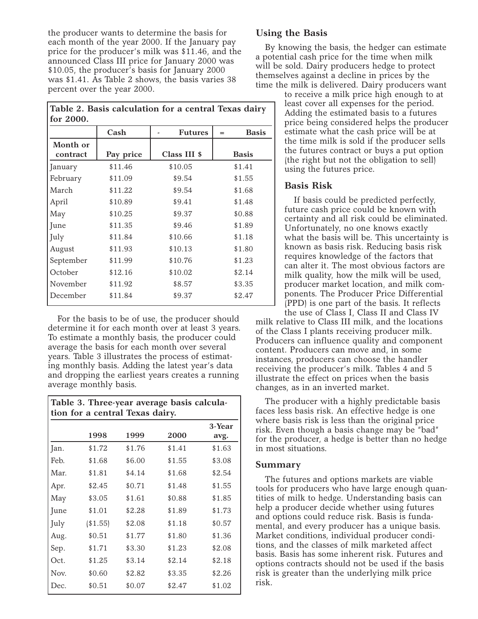the producer wants to determine the basis for each month of the year 2000. If the January pay price for the producer's milk was \$11.46, and the announced Class III price for January 2000 was \$10.05, the producer's basis for January 2000 was \$1.41. As Table 2 shows, the basis varies 38 percent over the year 2000.

**Table 2. Basis calculation for a central Texas dairy for 2000.**

|                      | Cash      | <b>Futures</b> | <b>Basis</b><br>$=$ |
|----------------------|-----------|----------------|---------------------|
| Month or<br>contract | Pay price | Class III \$   | <b>Basis</b>        |
| January              | \$11.46   | \$10.05        | \$1.41              |
| February             | \$11.09   | \$9.54         | \$1.55              |
| March                | \$11.22   | \$9.54         | \$1.68              |
| April                | \$10.89   | \$9.41         | \$1.48              |
| May                  | \$10.25   | \$9.37         | \$0.88              |
| June                 | \$11.35   | \$9.46         | \$1.89              |
| July                 | \$11.84   | \$10.66        | \$1.18              |
| August               | \$11.93   | \$10.13        | \$1.80              |
| September            | \$11.99   | \$10.76        | \$1.23              |
| October              | \$12.16   | \$10.02        | \$2.14              |
| November             | \$11.92   | \$8.57         | \$3.35              |
| December             | \$11.84   | \$9.37         | \$2.47              |

For the basis to be of use, the producer should determine it for each month over at least 3 years. To estimate a monthly basis, the producer could average the basis for each month over several years. Table 3 illustrates the process of estimating monthly basis. Adding the latest year's data and dropping the earliest years creates a running average monthly basis.

| Table 3. Three-year average basis calcula-<br>tion for a central Texas dairy. |          |        |        |        |
|-------------------------------------------------------------------------------|----------|--------|--------|--------|
|                                                                               | 1998     | 1999   | 2000   | 3-Year |
|                                                                               |          |        |        | avg.   |
| Jan.                                                                          | \$1.72   | \$1.76 | \$1.41 | \$1.63 |
| Feb.                                                                          | \$1.68   | \$6.00 | \$1.55 | \$3.08 |
| Mar.                                                                          | \$1.81   | \$4.14 | \$1.68 | \$2.54 |
| Apr.                                                                          | \$2.45   | \$0.71 | \$1.48 | \$1.55 |
| May                                                                           | \$3.05   | \$1.61 | \$0.88 | \$1.85 |
| June                                                                          | \$1.01   | \$2.28 | \$1.89 | \$1.73 |
| July                                                                          | (\$1.55) | \$2.08 | \$1.18 | \$0.57 |
| Aug.                                                                          | \$0.51   | \$1.77 | \$1.80 | \$1.36 |
| Sep.                                                                          | \$1.71   | \$3.30 | \$1.23 | \$2.08 |
| Oct.                                                                          | \$1.25   | \$3.14 | \$2.14 | \$2.18 |
| Nov.                                                                          | \$0.60   | \$2.82 | \$3.35 | \$2.26 |
| Dec.                                                                          | \$0.51   | \$0.07 | \$2.47 | \$1.02 |

## **Using the Basis**

By knowing the basis, the hedger can estimate a potential cash price for the time when milk will be sold. Dairy producers hedge to protect themselves against a decline in prices by the time the milk is delivered. Dairy producers want

to receive a milk price high enough to at least cover all expenses for the period. Adding the estimated basis to a futures price being considered helps the producer estimate what the cash price will be at the time milk is sold if the producer sells the futures contract or buys a put option (the right but not the obligation to sell) using the futures price.

## **Basis Risk**

If basis could be predicted perfectly, future cash price could be known with certainty and all risk could be eliminated. Unfortunately, no one knows exactly what the basis will be. This uncertainty is known as basis risk. Reducing basis risk requires knowledge of the factors that can alter it. The most obvious factors are milk quality, how the milk will be used, producer market location, and milk components. The Producer Price Differential (PPD) is one part of the basis. It reflects the use of Class I, Class II and Class IV

milk relative to Class III milk, and the locations of the Class I plants receiving producer milk. Producers can influence quality and component content. Producers can move and, in some instances, producers can choose the handler receiving the producer's milk. Tables 4 and 5 illustrate the effect on prices when the basis changes, as in an inverted market.

The producer with a highly predictable basis faces less basis risk. An effective hedge is one where basis risk is less than the original price risk. Even though a basis change may be "bad" for the producer, a hedge is better than no hedge in most situations.

## **Summary**

The futures and options markets are viable tools for producers who have large enough quantities of milk to hedge. Understanding basis can help a producer decide whether using futures and options could reduce risk. Basis is fundamental, and every producer has a unique basis. Market conditions, individual producer conditions, and the classes of milk marketed affect basis. Basis has some inherent risk. Futures and options contracts should not be used if the basis risk is greater than the underlying milk price risk.